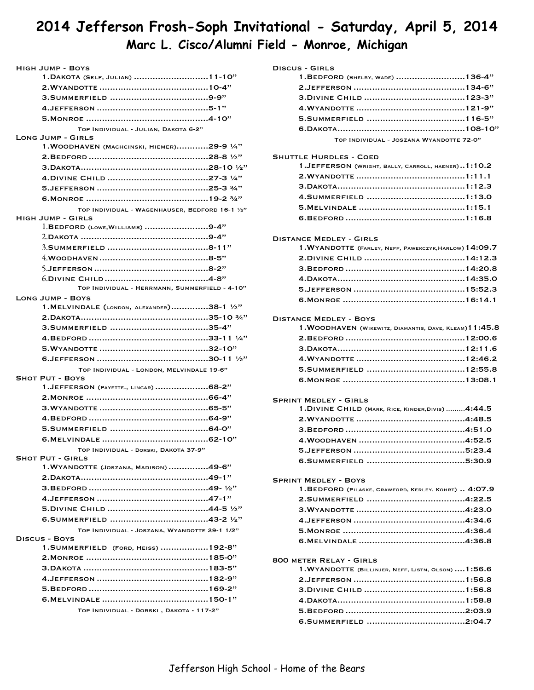## **2014 Jefferson Frosh-Soph Invitational - Saturday, April 5, 2014 Marc L. Cisco/Alumni Field - Monroe, Michigan**

| <b>HIGH JUMP - BOYS</b>                                             |
|---------------------------------------------------------------------|
| 1. DAKOTA (SELF, JULIAN)  11-10"                                    |
|                                                                     |
|                                                                     |
|                                                                     |
|                                                                     |
| TOP INDIVIDUAL - JULIAN, DAKOTA 6-2"                                |
| <b>LONG JUMP - GIRLS</b>                                            |
| 1. WOODHAVEN (MACHCINSKI, HIEMER)29-9 $1/4"$                        |
|                                                                     |
|                                                                     |
|                                                                     |
|                                                                     |
|                                                                     |
| TOP INDIVIDUAL - WAGENHAUSER, BEDFORD 16-1 1/2"                     |
| <b>HIGH JUMP - GIRLS</b>                                            |
| $l.BEDFORD$ (Lowe, WILLIAMS) 9-4"                                   |
|                                                                     |
|                                                                     |
|                                                                     |
|                                                                     |
|                                                                     |
| TOP INDIVIDUAL - HERRMANN, SUMMERFIELD - 4-10"                      |
| <b>LONG JUMP - BOYS</b>                                             |
| 1. MELVINDALE (LONDON, ALEXANDER)38-1 1/2"                          |
|                                                                     |
|                                                                     |
|                                                                     |
|                                                                     |
|                                                                     |
|                                                                     |
| TOP INDIVIDUAL - LONDON, MELVINDALE 19-6"<br><b>SHOT PUT - BOYS</b> |
| 1.JEFFERSON (PAYETTE., LINGAR) 68-2"                                |
|                                                                     |
|                                                                     |
|                                                                     |
|                                                                     |
|                                                                     |
|                                                                     |
| TOP INDIVIDUAL - DORSKI, DAKOTA 37-9"<br><b>SHOT PUT - GIRLS</b>    |
| 1. WYANDOTTE (JOSZANA, MADISON) 49-6"                               |
|                                                                     |
|                                                                     |
|                                                                     |
|                                                                     |
|                                                                     |
|                                                                     |
| TOP INDIVIDUAL - JOSZANA, WYANDOTTE 29-1 1/2"                       |
| <b>DISCUS - BOYS</b><br>1. SUMMERFIELD (FORD, HEISS)  192-8"        |
|                                                                     |
|                                                                     |
|                                                                     |
|                                                                     |
|                                                                     |
|                                                                     |
| TOP INDIVIDUAL - DORSKI, DAKOTA - 117-2"                            |

| DISCUS - GIRLS |  |
|----------------|--|
|----------------|--|

| 1. BEDFORD (SHELBY, WADE) 136-4"         |  |
|------------------------------------------|--|
|                                          |  |
|                                          |  |
|                                          |  |
|                                          |  |
|                                          |  |
| TOP INDIVIDUAL - JOSZANA WYANDOTTE 72-0" |  |
|                                          |  |

#### Shuttle Hurdles - Coed

| 1. JEFFERSON (WRIGHT, BALLY, CARROLL, HAENER)1:10.2 |  |
|-----------------------------------------------------|--|
|                                                     |  |
|                                                     |  |
|                                                     |  |
|                                                     |  |
|                                                     |  |

#### Distance Medley - Girls

| 1. WYANDOTTE (FARLEY, NEFF, PAWEKCZYK, HARLOW) 14:09.7 |  |
|--------------------------------------------------------|--|
|                                                        |  |
|                                                        |  |
|                                                        |  |
|                                                        |  |
|                                                        |  |

#### Distance Medley - Boys

| 1. WOODHAVEN (WIKEWITZ, DIAMANTIS, DAVE, KLEAM) 11:45.8 |  |
|---------------------------------------------------------|--|
|                                                         |  |
|                                                         |  |
|                                                         |  |
|                                                         |  |
|                                                         |  |

#### Sprint Medley - Girls

| 1. DIVINE CHILD (MARK, RICE, KINDER, DIVIS) 4:44.5 |  |
|----------------------------------------------------|--|
|                                                    |  |
|                                                    |  |
|                                                    |  |
|                                                    |  |
|                                                    |  |

#### Sprint Medley - Boys 1.BEDFORD (PILASKE, CRAWFORD, KERLEY, KOHRT) .. 4:07.9 2.Summerfield 4:22.5 ..................................... 3.Wyandotte 4:23.0 ......................................... 4.Jefferson 4:34.6 .......................................... 5.Monroe 4:36.4 .............................................. 6.Melvindale 4:36.8 ........................................

#### 800 meter Relay - Girls

| 1. WYANDOTTE (BILLINJER, NEFF, LISTN, OLSON)  1:56.6 |  |
|------------------------------------------------------|--|
|                                                      |  |
|                                                      |  |
|                                                      |  |
|                                                      |  |
|                                                      |  |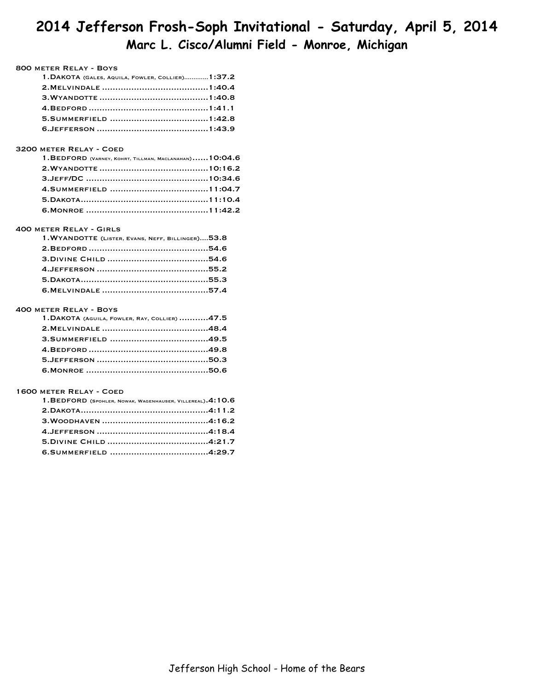## **2014 Jefferson Frosh-Soph Invitational - Saturday, April 5, 2014 Marc L. Cisco/Alumni Field - Monroe, Michigan**

#### 800 meter Relay - Boys

| 1. DAKOTA (GALES, AQUILA, FOWLER, COLLIER) 1:37.2 |  |
|---------------------------------------------------|--|
|                                                   |  |
|                                                   |  |
|                                                   |  |
|                                                   |  |
|                                                   |  |

#### 3200 meter Relay - Coed

| $1.BEDFORD$ (VARNEY, KOHRT, TILLMAN, MACLANAHAN) $10:04.6$ |  |
|------------------------------------------------------------|--|
|                                                            |  |
|                                                            |  |
|                                                            |  |
|                                                            |  |
|                                                            |  |

#### 400 meter Relay - Girls

| 1. WYANDOTTE (LISTER, EVANS, NEFF, BILLINGER) 53.8 |  |
|----------------------------------------------------|--|
|                                                    |  |
|                                                    |  |
|                                                    |  |
|                                                    |  |
|                                                    |  |

#### 400 meter Relay - Boys

| 1. DAKOTA (AGUILA, FOWLER, RAY, COLLIER) 47.5 |  |
|-----------------------------------------------|--|
|                                               |  |
|                                               |  |
|                                               |  |
|                                               |  |
|                                               |  |

#### 1600 meter Relay - Coed

| 1. BEDFORD (SPOHLER, NOWAK, WAGENHAUSER, VILLEREAL). 4:10.6 |  |
|-------------------------------------------------------------|--|
|                                                             |  |
|                                                             |  |
|                                                             |  |
|                                                             |  |
|                                                             |  |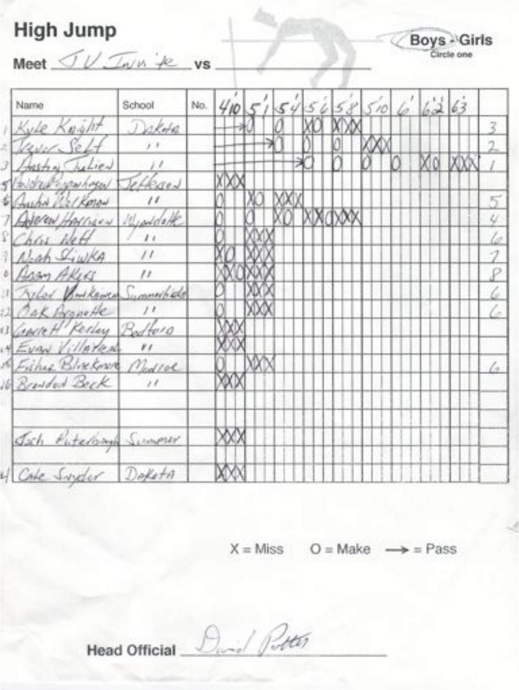# **High Jump**

Boys - Girls

Meet  $\mathcal{I} \cup \mathcal{I}$   $\mathcal{I}$   $\mathcal{I}$   $\mathcal{I}$   $\mathcal{I}$   $\mathcal{I}$   $\mathcal{I}$   $\mathcal{I}$   $\mathcal{I}$   $\mathcal{I}$   $\mathcal{I}$   $\mathcal{I}$   $\mathcal{I}$   $\mathcal{I}$   $\mathcal{I}$   $\mathcal{I}$   $\mathcal{I}$   $\mathcal{I}$   $\mathcal{I}$   $\mathcal{I}$   $\mathcal{I}$   $\mathcal{I}$   $\mathcal{I}$ 

| Name                                      | School            | 410<br>No.<br>5658<br>6   62   63<br>510<br>54 |
|-------------------------------------------|-------------------|------------------------------------------------|
| Kyle Knyht                                | Dalota            | 3                                              |
| Waver Seft                                |                   | 2                                              |
| Hastin Chilier                            | $\frac{1}{2}$     |                                                |
| Waldred Espanhosed                        | Jeffersen         |                                                |
| G Aucha Welkprow<br>1 Apportunity Minutes | $^{\prime\prime}$ | 5<br>4                                         |
| Chas Net                                  | 11                | ló                                             |
| Negh Siwka                                | $\mu$             | 1                                              |
| · Assy Akers                              | $\frac{1}{2}$     | P                                              |
| Villar Bookborn Symmetride                |                   | 6                                              |
| 2 Oak Arguette<br>GARRH Kerley Bodters    | $\frac{1}{2}$     | C                                              |
| * Evan Villarent                          | $_{\prime}$       |                                                |
| Fisher Blockman Modial                    |                   | $\sqrt{2}$                                     |
| 6 Brended Beck                            | $\frac{1}{2}$     |                                                |
| Joch Putching Summer                      |                   |                                                |
| CALe Sweder Defeta                        |                   |                                                |

 $X = Miss$   $O = Make$   $\rightarrow$  = Pass

Duril Potter Head Official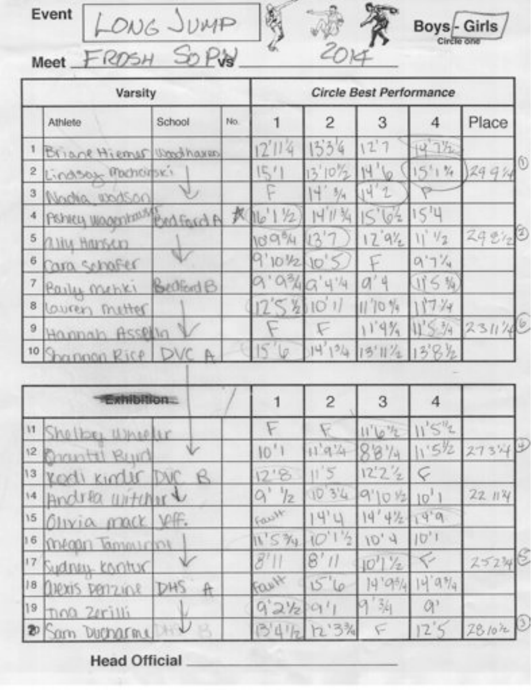Event LONG JUMP





|   | Varsity                 |            |     | Circle Best Performance |             |                    |          |        |
|---|-------------------------|------------|-----|-------------------------|-------------|--------------------|----------|--------|
|   | Athlete                 | School     | No. |                         | 2           | 3                  | 4        | Place  |
|   | Briane Hiemer Woodhaves |            |     | 2'1'4                   | 534         | 12'7               | $14.1\%$ |        |
| 2 | Lindson Mochorski       |            |     | 5'                      | $13'10''_2$ | $\sqrt{6}$<br>14   | $5'1$ %  | 2994   |
| 3 | Nacha modson            |            |     | c                       | 4.34        | $\mathbbm{1}$<br>과 |          |        |
|   | Pehicy woodships        | Professo A |     | 权 16 1 1/2              | 411%        | 64                 | 1511     |        |
| 5 | aliy Harsen             |            |     | <b>109%</b>             | 12          | $12.9\%$           | 1/2      | 29.872 |
| 6 | Cara schafer            |            |     | 9'101/2 10'5            |             |                    | $0.7\%$  |        |
|   | Parly menki             | BededB     |     | 9'9''49'4''             |             |                    | 115 %    |        |
| 8 | lowers mitter           |            |     | 1254101                 |             | 11'10'             | 17.74    |        |
| 9 | Hannah Assella          |            |     |                         |             | 119%               | 1'5''    | 231/4  |
|   | 10 Shannon Rice         |            |     | $\varsigma$             | 14'134      | 13'11'2            | 1394     |        |

| <b>Exhibition</b>                 |               | $\overline{c}$ | З                        |                 |          |
|-----------------------------------|---------------|----------------|--------------------------|-----------------|----------|
| 11 Shelber Whichir                |               |                | $11^{1}10^{11}2$         | $115^{12}$      |          |
| 12 Brantil Byrd                   | 10'1          | 11'9'4         | 18814                    | 11512           | 27343    |
| 13 Kodi Kinder DVC                | 12.8          | 11'5           | 12'2'2                   | Ç               |          |
| 14 Andrea witcher                 | $Q'$ $12$     | 1034           | 9'10 1/2                 | 10 <sup>1</sup> | 22.114   |
| 15 Olivia mack Voff.              | Fault         | 4'4            | 14'412 14'9              |                 |          |
| 16 mean Tamourou                  | 11'5''410'1'2 |                | 10, 4                    | 10,1            |          |
| 17 Sydney contuc                  |               | 8'11           | $10^{11}$ / <sub>2</sub> |                 | 25240    |
| 18 DIEXIS DETIZIOLE<br>DHS<br>ft. | Fault         | 1576           | 14'95/4                  | 14.9%           |          |
| $19$ $700$ $20$                   | 921291        |                | 34                       | $Q^{\gamma}$    |          |
| $\vee$<br>20 Sam Ducharme         |               | 13412 12:3%    | F                        | 125             | 781072 2 |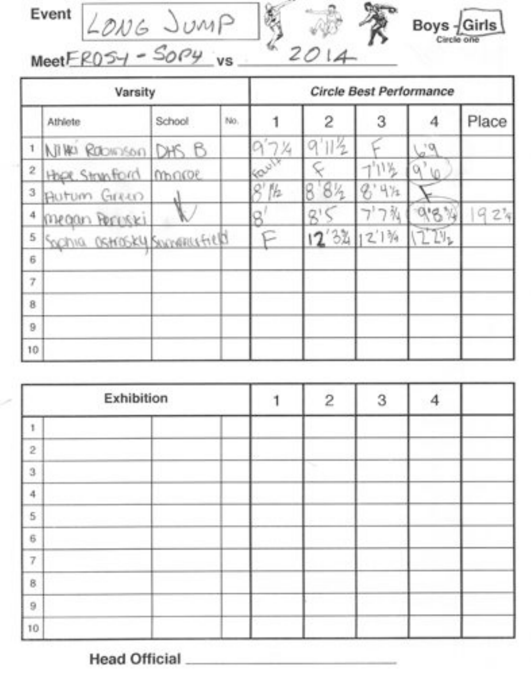



Event  $L_{ONG}$  JUMP<br>Meet  $FRO54 - SO9$  vs

|                | Varsity                     |        |     |      |       |                       | Circle Best Performance |       |  |
|----------------|-----------------------------|--------|-----|------|-------|-----------------------|-------------------------|-------|--|
|                | Athlete                     | School | No. |      | 2     | $\overline{3}$        | 4                       | Place |  |
| 1              | NINO RODINSON DHS B         |        |     | オフス  | 11/2  |                       | 19                      |       |  |
| $\bar{2}$      | Hope Strunford              | macoe  |     | Call |       | $-1^{1}11\frac{1}{2}$ | α,                      |       |  |
| 3              | Autum Green                 |        |     | 112  | 84    | 4%                    |                         |       |  |
| 4              | megan Peruski               |        |     |      |       | ブワ教                   | 918 %                   | 927   |  |
| 5              | SOChia OSHOSKY SOCHERLIFIED |        |     | F    | 12'34 | 12'1%                 | 224                     |       |  |
| 6              |                             |        |     |      |       |                       |                         |       |  |
| $\overline{z}$ |                             |        |     |      |       |                       |                         |       |  |
| 8              |                             |        |     |      |       |                       |                         |       |  |
| $\overline{9}$ |                             |        |     |      |       |                       |                         |       |  |
| 10             |                             |        |     |      |       |                       |                         |       |  |

|                                                                                                                    | Exhibition | $\overline{\mathbf{c}}$ | 3 |  |
|--------------------------------------------------------------------------------------------------------------------|------------|-------------------------|---|--|
| ۹.                                                                                                                 |            |                         |   |  |
| $\mathfrak{D}% _{T}=\mathfrak{D}_{T}\!\left( a,b\right) ,\ \mathfrak{D}_{T}=\mathfrak{D}_{T}\!\left( a,b\right) ,$ |            |                         |   |  |
| $\,3$                                                                                                              |            | w                       |   |  |
| $\ddot{a}$                                                                                                         |            |                         |   |  |
| $\overline{5}$                                                                                                     |            |                         |   |  |
| 6                                                                                                                  |            |                         |   |  |
| 7                                                                                                                  |            |                         |   |  |
| $_{\rm 8}$                                                                                                         |            |                         |   |  |
| 9                                                                                                                  |            |                         |   |  |
| 10                                                                                                                 |            |                         |   |  |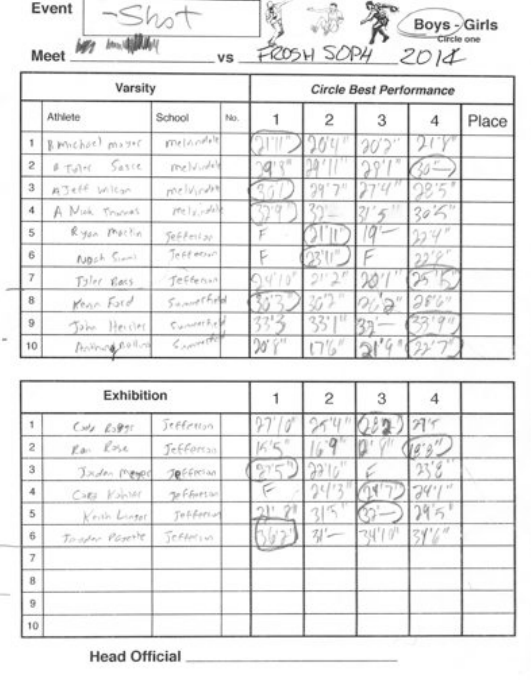

|        | Varsity            |                               |     |                      |                              | Circle Best Performance |        |       |
|--------|--------------------|-------------------------------|-----|----------------------|------------------------------|-------------------------|--------|-------|
|        | Athlete            | School                        | No. |                      | $\overline{2}$               | 3                       | 4      | Place |
| 1      | R. Muchael Mayor   | melondele                     |     |                      | OU.                          | 20'2                    |        |       |
| 2      | Sasce<br>$F = 100$ | melvidel                      |     |                      |                              | JO,                     | n-     |       |
| 3      | AJeff Wilcon       | melvinne                      |     |                      | 29                           |                         |        |       |
| 4      | A Muh. Trunks      | $ r_2 _{1,r}$ , $ r_2 _{1,r}$ |     | - 13                 |                              |                         | 304    |       |
| 5      | Ryon Machin        | Sefferian                     |     |                      |                              | û                       | 124    |       |
| 6      | Nosh Simil         | Te Fif ecoup                  |     |                      |                              |                         | 22'9'' |       |
| 7      | Tyler Racs         | Jefferson                     |     | 14'10'               | 215                          |                         | 23     |       |
| $\, 8$ | Kenn Ford          | Summithed                     |     |                      | $36^{\prime}$ ) <sup>m</sup> | $\alpha$ a"             | 28''   |       |
| 9      | John Heicher       | <b>Cummerful</b>              |     | ᅒᆞ                   | 33'1''                       |                         | 22'9'' |       |
| 10     | Animacena          | $\leq$ and the                |     | $20'$ $\frac{1}{10}$ |                              | 16.8                    |        |       |

|                     | Exhibition                    |            |               | $\overline{2}$ | 3          |      |  |
|---------------------|-------------------------------|------------|---------------|----------------|------------|------|--|
| 1                   | $C_{11} C_{22} C_{33} C_{31}$ | Jeffenson  | 17            |                |            | 27'  |  |
| $\overline{2}$      | Rai Rose                      | Jefforso   | $K^{\prime}K$ |                |            |      |  |
| 3                   | Jaden Meyer                   | Jeffrom    |               |                |            |      |  |
| $\overline{4}$      | Cara Kahin                    | Je Fhorton |               | gu.            |            | 74'1 |  |
| 5                   | Keith Linger                  | Tofferial  |               | 2              |            | 295  |  |
| $\ddot{\mathrm{6}}$ | Tosper Paserte                | Jefferin   | Σ             | $\frac{1}{2}$  | $-34'10''$ | 34%  |  |
| $\overline{z}$      |                               |            |               |                |            |      |  |
| $\bf B$             |                               |            |               |                |            |      |  |
| 9                   |                               |            |               |                |            |      |  |
| 10                  |                               |            |               |                |            |      |  |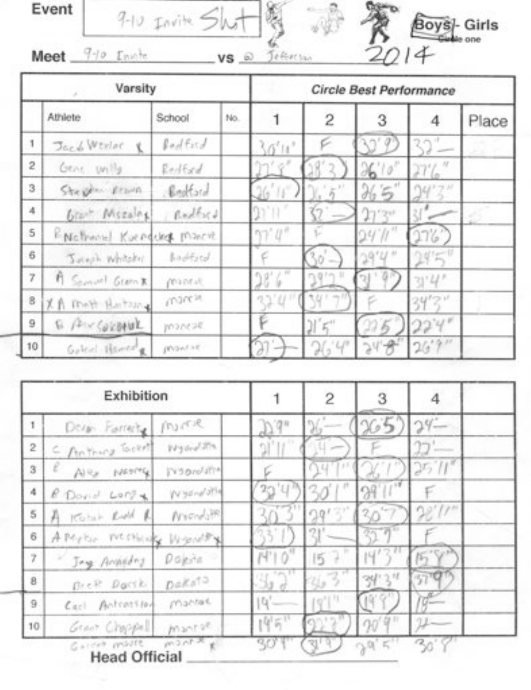$9-10$   $Iawih 5h$ Meet  $\frac{q}{q}$  (note

 $VS$   $\odot$  Jefferson



|                | Varsity                     |            |     |          |                                             |         |        |       |
|----------------|-----------------------------|------------|-----|----------|---------------------------------------------|---------|--------|-------|
|                | Athlete                     | School     | No. |          | $\overline{c}$                              | 3       | 4      | Place |
| 1              | Jack Winler<br>$\mathbf{X}$ | Redfield   |     | 30'11''  |                                             |         |        |       |
| $\overline{2}$ | Gene unils                  | Redford    |     | 'n' v'   |                                             | 26'10'' |        |       |
| 3.             | Stephen Read                | Bootface   |     |          |                                             | 265'    |        |       |
| 4              | Grant Miszales              | Rodbert    |     |          | U.                                          | 27'2''  |        |       |
| 5              | ENchand Kvenders March      |            |     | 97'0''   |                                             | 24''''  | 176'   |       |
| 6              | Joseph Whitake              | bookied    |     |          | $30 -$                                      | 29'4''  | 14°F.  |       |
| 7              | A Samuel George             | Mantal)    |     | 28'6''   | $ng(r_0, 1)$                                |         | 3'4'   |       |
| 8              | XA Moth Hortzang            | marcin.    |     | $3.0$ ii |                                             |         | 34'2'' |       |
| 9              | E AUCORDINA                 | mancae.    |     |          | $\mathcal{Y} \in \mathcal{Y}^{\mathcal{U}}$ | 275     | 22.4'' |       |
| 10             | Galent Hamtel               | provision. |     |          | 26.4                                        | 24.8    | 26.9.1 |       |

| 20<br>'U'          | $Q^{(1)}(t^{\pm})$<br>31<br>90' | $\mathcal{M}$<br>$\mathcal{U}^*$<br>$29 -$<br>t 7<br>30 | $24 -$<br>22'<br>32.11<br>F<br>28.11.7 |                                    |
|--------------------|---------------------------------|---------------------------------------------------------|----------------------------------------|------------------------------------|
|                    |                                 |                                                         |                                        |                                    |
|                    |                                 |                                                         |                                        |                                    |
|                    |                                 |                                                         |                                        |                                    |
|                    |                                 |                                                         |                                        |                                    |
|                    |                                 |                                                         |                                        |                                    |
|                    | 21'                             | -71<br>$\sqrt[3]{1}$                                    |                                        |                                    |
| $\delta^*$<br>74°) | ş<br>15                         | ı4′                                                     | b.                                     |                                    |
| 125,111            |                                 | 34''3''                                                 | 370                                    |                                    |
|                    | $(9'$ <sup>[1]</sup>            |                                                         | $q-$                                   |                                    |
|                    |                                 | $20'$ <sup>9"</sup>                                     |                                        |                                    |
|                    | 3.,<br>$ q^{\prime}-$<br>195"   |                                                         | 2637<br>19'9                           | $3d, \epsilon$<br>30°<br>30'<br>31 |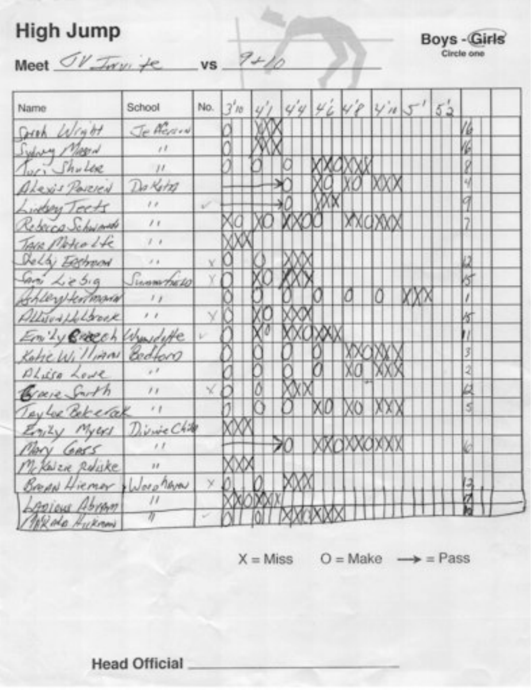# High Jump

Boys - Girls

Meet  $\sigma$ V Inv. te vs 9+10

| Name                               | School                    | No. | $3'$ 10 $4'$ |  |    | 4446484115 | 52 |          |
|------------------------------------|---------------------------|-----|--------------|--|----|------------|----|----------|
| Joseph Wright                      | Jefferson                 |     |              |  |    |            |    | $\theta$ |
| Sydney Mapa                        | $\mu$                     |     |              |  |    |            |    |          |
| Juri Shuler                        | 11                        |     |              |  |    |            |    |          |
| ALEXIS PORCEN Dollar               |                           |     |              |  |    |            |    | 4        |
| Liden Teets                        | $\theta$                  | v   |              |  |    |            |    |          |
| Reporce Schwarth                   | $\frac{1}{2}$             |     |              |  |    |            |    |          |
| TAIR Motio Lfc                     | $\ell$ . $\ell$           |     |              |  |    |            |    |          |
| Delly Eggman                       | $\sigma$ is               |     |              |  |    |            |    |          |
| San Lebig Swampell                 |                           |     |              |  |    |            |    | 15       |
| Sheey termond                      | $\mathcal{F}$             |     |              |  |    |            |    |          |
| Altrod Holsone                     |                           |     |              |  |    |            |    |          |
| Emily Breech Wandette v            |                           |     |              |  |    |            |    |          |
| Kohelvillian Bedford               |                           |     |              |  |    |            |    | 3        |
| Philip Lowe                        |                           |     |              |  |    |            |    |          |
| Gare Sarth                         | $\mathcal{F} \mathcal{F}$ | X   |              |  |    |            |    |          |
| Taylor Bekerak                     | $\epsilon$                |     |              |  | XO |            |    | kđ       |
| Emily Myers Divine Child           |                           |     |              |  |    |            |    |          |
| MAY GASS                           |                           |     |              |  |    |            |    |          |
| My KNER RUSKE                      | $\overline{\mathbf{z}}$   |     |              |  |    |            |    |          |
| Bread Hiemor Worchway              |                           | X   |              |  |    |            |    |          |
| <i><u><b>Appieus Abram</b></u></i> |                           |     |              |  |    |            |    |          |
| Mixele Hukman                      |                           |     |              |  |    |            |    |          |

 $X = Miss$  O = Make  $\rightarrow$  = Pass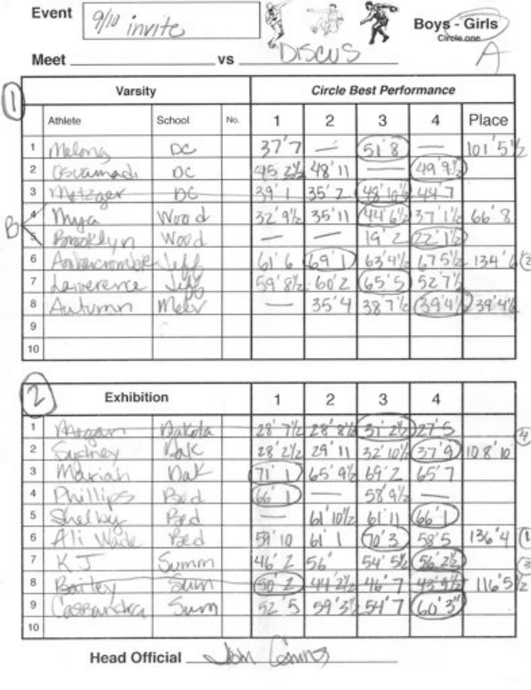Meet.

 $9/10$  invites

Boys - Girls

|             | Varsity   |                  |     |              |                | Circle Best Performance |    |       |
|-------------|-----------|------------------|-----|--------------|----------------|-------------------------|----|-------|
|             | Athlete   | School           | No. |              | $\overline{2}$ | 3                       |    | Place |
| ١           | Melon     | ∝                |     |              |                |                         |    | ÷     |
| $\tilde{z}$ | Bettemade | OC               |     |              |                |                         | ЦA |       |
| 3           |           |                  |     |              | 砧              |                         |    |       |
|             |           | <b>NUTO</b><br>d |     |              | 35             |                         |    | 66    |
|             | Knogsk l  | Woo <sub>c</sub> |     |              |                | G                       |    |       |
| 6           |           |                  |     |              |                |                         |    | 134   |
| 7           | Linevence |                  |     | 9Y.<br>$-64$ |                |                         |    |       |
| 8           | Autumn    | V                |     |              | 35<br>ப        |                         |    | 39'   |
| 9           |           | <b>SALL</b>      |     |              |                |                         |    |       |
| 10          |           |                  |     |              |                |                         |    |       |

**VS** 

|                                   | 3 | $\overline{c}$ |         |        | Exhibition |           |
|-----------------------------------|---|----------------|---------|--------|------------|-----------|
| 4                                 |   |                |         | Antola |            | 1         |
| 80                                |   |                | 28      |        |            | $\bar{2}$ |
|                                   |   |                |         |        |            | $\,$      |
|                                   |   |                |         |        |            | 4         |
|                                   |   |                |         |        |            | 5         |
| $\epsilon$<br>Tì<br>$\frac{2}{6}$ |   |                | 叼<br>10 | Tæ.c   |            | 6         |
|                                   |   |                | 41      | mm     |            | 7         |
|                                   |   |                |         | AW.    |            | $\rm ^8$  |
|                                   |   |                | 92      |        | $\sigma$   | 9         |
|                                   |   |                |         |        |            | 10        |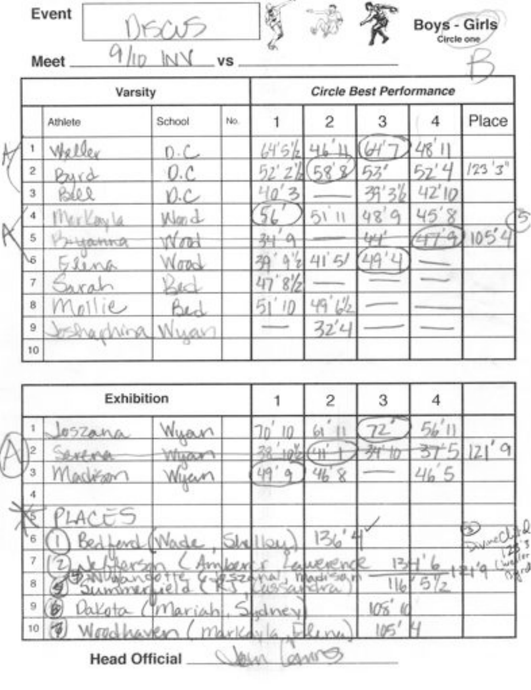Event i. **Boys - Girls** Circle one  $\alpha$  $_{\rm{Hri}}$ Meet. **vs** Circle Best Performance Varsity Place  $\overline{2}$ 3 Athlete School No. 1 4 Weller 48  $6<sub>b</sub>$ 41 Н 1 Щ

2

8

 $10$ 

4

 $511$ 

 $4151$ 

49

22

 $\sqrt{2}$ 

 $\mathcal{L}$ 

 $123'3''$ 

105

 $\mathcal{L}$ 

 $42'10$ 

45

羿

 $48'$ 

 $\alpha$ 

 $D-C$ 

 $0.c$ 

Y).C

Wan d

n bi

 $10<sup>o</sup>$ 

 $64 -$ 

Wuar

2

3

4

5

US.

7

ġ

9

10

P

Priva

BLee

Merlayla

Hiddhina

Ling

 $n11e$ 

Brachina

КA

Exhibition  $\overline{2}$ 3 4 1  $56'11$ Wyan t 05Zana 61  $10$  $121'9$  $\mathfrak{b}^{\mathfrak{h}}$  $\overline{2}$ **SARAY** ä Whatev  $465$  $49$ 3 46 Ÿ M Δ Wyer **DAS LAFFORM** 4 **Lyne**<sup>C</sup>  $136$ Wade 6 **Juliou** evel 7 Am 13  $5\frac{1}{2}$  $116$ 8 **ANTIONER** VGS' 9 γ IN<sub>5</sub> 10 CANIS **Head Official** Valian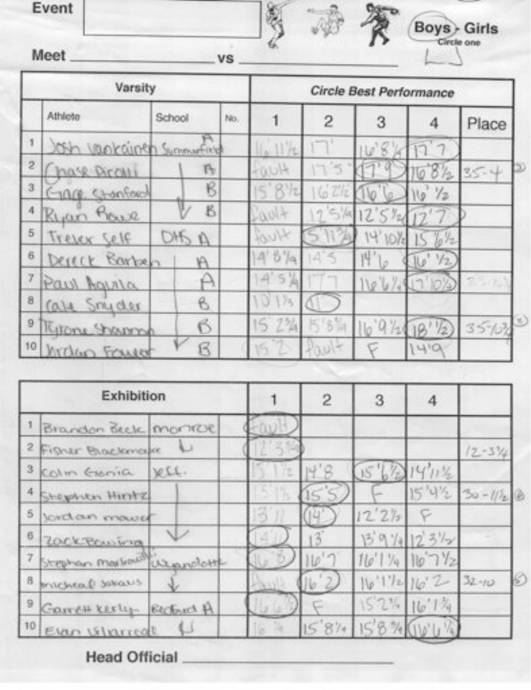Meet.





Boys Girls

|                     | Varsity                   |        |     | <b>Circle Best Performance</b> |                |           |                     |           |
|---------------------|---------------------------|--------|-----|--------------------------------|----------------|-----------|---------------------|-----------|
|                     | Athlete                   | School | No. |                                | $\overline{c}$ | 3         | 4                   | Place     |
| ï                   | Och vankainen Summarfield | ¥λ.    |     | 117t                           |                | $10^{16}$ |                     |           |
| $\overline{c}$      | hase Pircilli             | ĿP.    |     | FILUIT                         |                |           | $8\frac{1}{2}$<br>0 | $35 - 4$  |
| $\mathbf{3}$        | Chanford<br>$-1000$       | B      |     | S                              | GZh            |           | 72                  |           |
| 4                   | Ryan<br>Praire            | B      |     | -801-                          | 5/4            | 12'       |                     |           |
| $5\overline{ }$     | Trejer Self               | OHS    |     | KNIK                           |                | 4'10%     | Iσ                  |           |
| $\ddot{\mathbf{6}}$ | Barben<br>Dereck          | A      |     | 4'5'4                          | ×<br>Δ         | 片'        | 12.<br>U            |           |
| 7                   | Paul Aguria               | A      |     | 5 <sup>1</sup><br>A            |                | 1104      |                     | $-170$    |
| 8                   | Case Smyder               | B      |     | 013                            |                |           |                     |           |
| $\overline{9}$      | Kitone Iramsp             | B      |     | 2%<br>5                        | 5%<br>15       | 16.9.75   | $\frac{1}{2}$       | $35 - 62$ |
| 10                  | hicko Fould               | B      |     | 16                             |                |           | 14,0                |           |

顑

|          | Exhibition                     |     | $\overline{2}$ | з     |                  |                   |  |
|----------|--------------------------------|-----|----------------|-------|------------------|-------------------|--|
|          | Brandon Beck monroe            |     |                |       |                  |                   |  |
|          | 2 Figher Blackmake             |     |                |       |                  | $12 - 3\%$        |  |
| 3        | Colm Genia VII.                | fz. | 19             |       | 411%             |                   |  |
|          | 4 Shephen Hintz                |     |                |       |                  | $15'4\%$ 30-1/2 8 |  |
| 5        | Jordan maus                    |     |                | 12'27 |                  |                   |  |
| 6.       | ZOCKROWING                     |     |                |       | 13 9 14 12 312   |                   |  |
|          | 7 Stephan moviement us prolott |     |                |       | 116'1'416'7'2    |                   |  |
| $\bf{8}$ | micheal savans                 |     |                |       | 16'1'12'16'2     | $32 - 10$         |  |
| 9        | Carrett Kerly Becket A         |     |                |       | $152\%$ $16'1\%$ |                   |  |
|          | 10 Evan Vitarreal              |     | 587.           | 15.5% |                  |                   |  |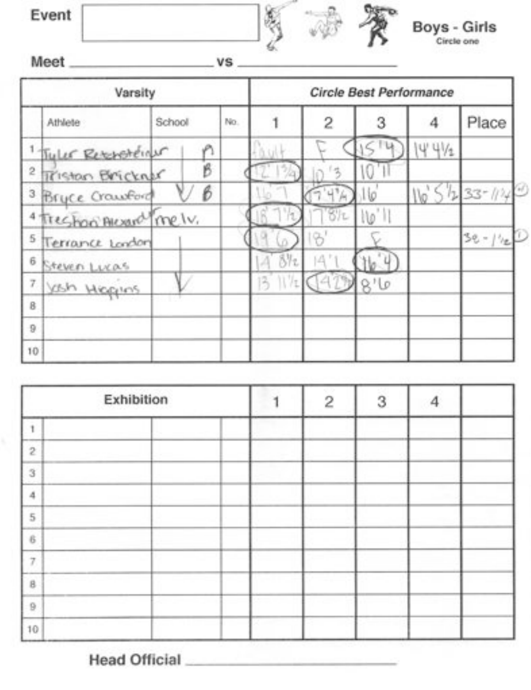

# Boys - Girls

 $Meet_$ 

vs.

|                  | Varsity                          |        |     | Circle Best Performance |    |                           |         |                         |  |
|------------------|----------------------------------|--------|-----|-------------------------|----|---------------------------|---------|-------------------------|--|
|                  | Athlete                          | School | No. |                         | 2  | 3                         |         | Place                   |  |
|                  | <sup>1</sup> Tyler Researcheiner |        |     |                         |    |                           | $4.4\%$ |                         |  |
| $\boldsymbol{2}$ | Tristan Brickner                 | B      |     |                         |    |                           |         |                         |  |
|                  | <sup>3</sup> Bryce Crawford      | в      |     |                         |    | ខែ                        |         | $110^{15}51233 - 11240$ |  |
|                  | 4 Treshon Alexand melv.          |        |     |                         |    | $\mathbb{U}^{\mathbb{U}}$ |         |                         |  |
| 5                | Terrance London                  |        |     |                         |    |                           |         | $3e - \frac{1}{2}$      |  |
| 6                | Steven Lizas                     |        |     | 842                     | íД |                           |         |                         |  |
| 7.               | yoh Hegins                       |        |     | 3                       |    |                           |         |                         |  |
| B                |                                  |        |     |                         |    |                           |         |                         |  |
| 9                |                                  |        |     |                         |    |                           |         |                         |  |
| 10               |                                  |        |     |                         |    |                           |         |                         |  |

| Exhibition       |  | $\overline{c}$ | 3 | 4 |  |
|------------------|--|----------------|---|---|--|
|                  |  |                |   |   |  |
| $\boldsymbol{2}$ |  |                |   |   |  |
| $\,3$            |  |                |   |   |  |
| $\it 4$          |  |                |   |   |  |
| 5                |  |                |   |   |  |
| 6                |  |                |   |   |  |
| 7                |  |                |   |   |  |
| $_{\rm B}$       |  |                |   |   |  |
| $\mathsf{D}$     |  |                |   |   |  |
| $10$             |  |                |   |   |  |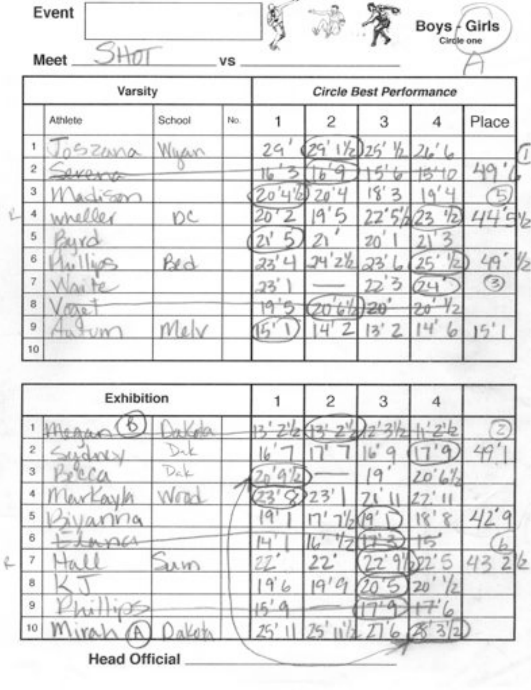| Event |    |  | Boys / Girls |
|-------|----|--|--------------|
| Meet  | VS |  | Circle one   |

|           | Varsity      |        |     |    |                | Circle Best Performance |         |       |
|-----------|--------------|--------|-----|----|----------------|-------------------------|---------|-------|
|           | Athlete      | School | No. |    | $\overline{c}$ | 3                       | 4       | Place |
| 1         | 052000       | Waan   |     | 29 | 1/2            | 26                      |         |       |
| $\bar{2}$ | overs        |        |     |    |                |                         |         | 401   |
| 3         | <i>Lisan</i> |        |     |    |                | 8                       | Ч       |       |
| 4         | wheller      | DC     |     |    | 9<br>ı         | La <del>de</del>        | 1/2     |       |
| 5         | Surd         |        |     |    |                | 20                      |         |       |
| $\rm 6$   |              | Bed    |     | 22 | 26<br>24       |                         | şс      | 49    |
| 7         |              |        |     | 23 |                | z                       |         | 3     |
| 8         | NAR.         |        |     | π  |                | H20                     | ٣O      |       |
| 9         | <b>HYK</b>   | Mel    |     |    |                | $\overline{z}$          | 14<br>6 | 15'   |
| 10        |              |        |     |    |                |                         |         |       |

|                     | Exhibition           |               |  |    | 2 | 3 |   |
|---------------------|----------------------|---------------|--|----|---|---|---|
|                     |                      |               |  |    |   |   | y |
| $\bar{2}$           |                      | ×.            |  |    |   |   |   |
| $\sqrt{3}$          |                      |               |  |    |   |   |   |
| 4                   |                      |               |  |    |   |   |   |
| 5                   | 70,<br>N             |               |  | q  |   |   |   |
| $\ddot{\mathbf{6}}$ | **                   |               |  | ľЧ |   |   |   |
| 7                   |                      | $\lambda$ $V$ |  |    |   |   |   |
| 8                   |                      |               |  | u  | a |   |   |
| 9                   |                      |               |  |    |   |   |   |
| 10                  |                      |               |  |    |   |   |   |
|                     | <b>Head Official</b> |               |  |    |   |   |   |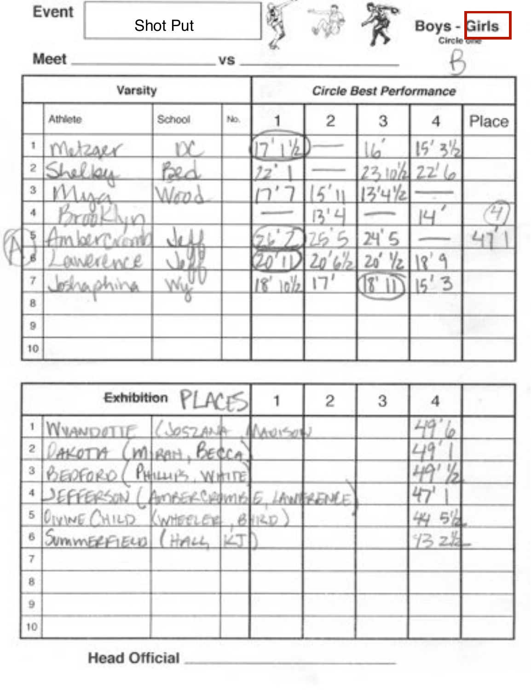| Event | <b>Shot Put</b> |    |  | Boys - Girls |
|-------|-----------------|----|--|--------------|
| Meet  |                 | vs |  |              |

|           | Varsity       |        |     |         |         | Circle Best Performance |                   |       |
|-----------|---------------|--------|-----|---------|---------|-------------------------|-------------------|-------|
|           | Athlete       | School | No. |         | 2       | З                       |                   | Place |
| ĩ.        | Metzger       |        |     |         |         |                         | $\mathbb{Z}$<br>5 |       |
| $\bar{z}$ |               |        |     |         |         | 2,10                    | 22'               |       |
| 3         |               |        |     |         |         | 4 Yz                    |                   |       |
| 4         |               |        |     |         | 2,<br>ப |                         |                   |       |
|           |               |        |     |         |         |                         |                   |       |
|           | w e<br>ennere |        |     |         |         |                         | ą                 |       |
| ÷         | losha shina   |        |     | 8<br>١n |         |                         | 3<br> 5"          |       |
| 8         |               |        |     |         |         |                         |                   |       |
| 9         |               |        |     |         |         |                         |                   |       |
| 10        |               |        |     |         |         |                         |                   |       |

|                         |                                 | Exhibition PLACES |       | $\overline{2}$ | 3 |      |
|-------------------------|---------------------------------|-------------------|-------|----------------|---|------|
|                         | 1 WHANDOTTE GOSZANA             |                   |       |                |   |      |
| $\overline{\mathbf{2}}$ | AKOTA                           | (MIRAH, BECCA     |       |                |   |      |
| 3                       | BEDFORD                         | PHILLY'S, WHITE   |       |                |   |      |
|                         | SEFFERSON (AMBERCRAMBE LAWREAME |                   |       |                |   |      |
| 5                       | DIVINE CHILD KWHEELER           |                   | 12.12 |                |   |      |
| б                       | SummERFIELD (HALL               |                   |       |                |   | 1327 |
| $\overline{7}$          |                                 |                   |       |                |   |      |
| g                       |                                 |                   |       |                |   |      |
| $\overline{9}$          |                                 |                   |       |                |   |      |
| 10                      |                                 |                   |       |                |   |      |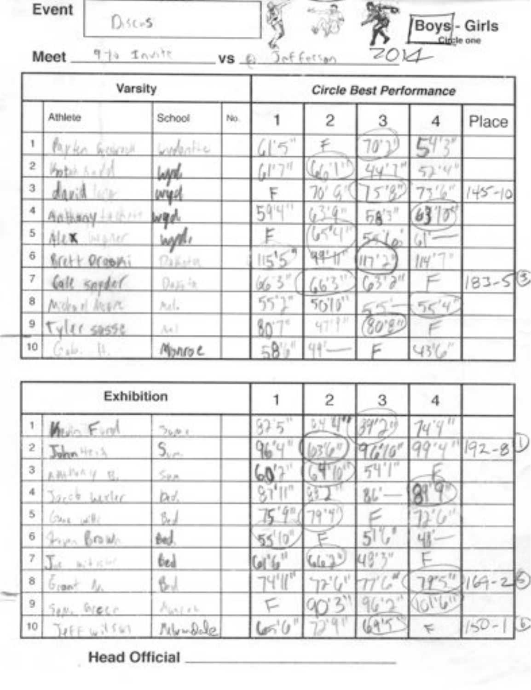| Event | $156 - 5$ | 震<br>Boys - Girls<br>ア<br>w |
|-------|-----------|-----------------------------|
| Meet  |           | 2011<br>ettan<br>vs         |

| Varsity      |                          |             |     | Circle Best Performance |               |                    |            |           |  |
|--------------|--------------------------|-------------|-----|-------------------------|---------------|--------------------|------------|-----------|--|
|              | Athlete                  | School      | No. |                         | 2             | 3                  | 4          | Place     |  |
| ١            | Pavko<br><b>WOMPSH</b>   | Lydentic    |     | $\approx$ $\!$          |               | 70                 |            |           |  |
| $\mathbf{2}$ | Potas.                   | <b>UVIT</b> |     | $(1^{17})^{11}$         | 73 T.C        |                    | 1611<br>51 |           |  |
| 3            | 4.9 <sub>1</sub>         | UNICO       |     |                         | 76            |                    |            | $45 - 10$ |  |
| 4            | 上半行いけ<br><b>MOBALDA</b>  | wad         |     | 594                     |               | fiq H<br><b>58</b> |            |           |  |
| 5            | 库主义<br>NEARY             | WAYE!       |     |                         |               |                    |            |           |  |
| $_{\rm 6}$   | Brett Drophi             | Oskorn      |     | 拭                       |               |                    | pu.        |           |  |
| 7            | Call speaker             | $0.15 - 5.$ |     |                         | $\mathcal{L}$ |                    |            | $83 - 58$ |  |
| 8            | Michael Megin            | hall.       |     | $\gamma$ yr<br>55       | 5010'         |                    | 554        |           |  |
| 9            | 10 <sup>2</sup><br>59556 | Ax.         |     | 80                      | Ħ<br>471      |                    |            |           |  |
| 10           | ×<br>$\pm 10$ .          | Monroe      |     | in,                     | u#!           |                    | 43%        |           |  |

| Exhibition   |                              |             |        | 2                           | 3    | 4           |                |
|--------------|------------------------------|-------------|--------|-----------------------------|------|-------------|----------------|
| 1            | Mun Fund                     | 76000       |        |                             |      | 74          |                |
| $\mathbf{2}$ | John Heis                    | $S_{\nu r}$ | fiks   |                             |      |             | 192-8          |
| 3            | ABAPAR V E.                  | 5a          | 60     |                             | 54   |             |                |
| 4            | Sarch Lexier                 | bd.         | iy (1) |                             | 86   |             |                |
| 5            | Chee with                    | ß.J         |        | 79"4                        |      |             |                |
| 6            | From Brake                   | Be).        | 550    |                             | 5    |             |                |
| $\gamma.$    | $\mathcal{T}$<br>$a + c - c$ | bed         | وأألفأ | $\mathsf{Cat}(\mathcal{I})$ |      |             |                |
| ð            | $U$ can $I$                  | 6.1         | 74'II" |                             |      |             | r<br>$169 - 2$ |
| ÿ            | SON, Green                   | Marie       |        | 2,                          |      | <b>John</b> |                |
| 10           | Hffw161                      | Mundale     | 650    |                             | 6915 | K           | 50             |